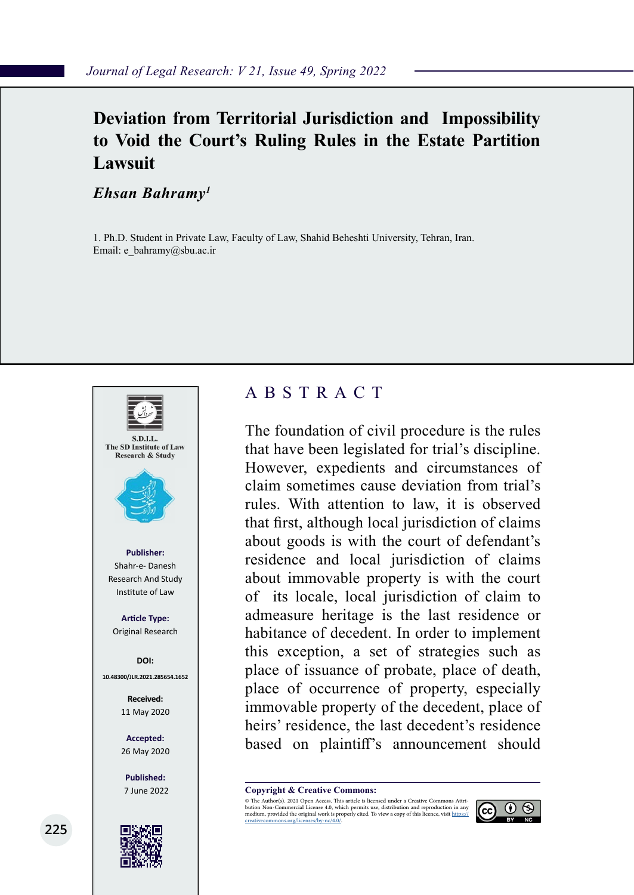## **Deviation from Territorial Jurisdiction and Impossibility to Void the Court's Ruling Rules in the Estate Partition Lawsuit**

*Ehsan Bahramy1*

1. Ph.D. Student in Private Law, Faculty of Law, Shahid Beheshti University, Tehran, Iran. Email: e\_bahramy@sbu.ac.ir



**225**

## ABSTRACT

The foundation of civil procedure is the rules that have been legislated for trial's discipline. However, expedients and circumstances of claim sometimes cause deviation from trial's rules. With attention to law, it is observed that first, although local jurisdiction of claims about goods is with the court of defendant's residence and local jurisdiction of claims about immovable property is with the court of its locale, local jurisdiction of claim to admeasure heritage is the last residence or habitance of decedent. In order to implement this exception, a set of strategies such as place of issuance of probate, place of death, place of occurrence of property, especially immovable property of the decedent, place of heirs' residence, the last decedent's residence based on plaintiff's announcement should

**Copyright & Creative Commons:**<br>© The Author(s). 2021 Open Access. This article is licensed under a Creative Commons Attri-

© The Author(s). 2021 Open Access. This article is licensed under a Creative Commons Attri- bution Non-Commercial License 4.0, which permits use, distribution and reproduction in any medium, provided the original work is properly cited. To view a copy of this licence, visit https://<br>creativecommons.org/licenses/by-nc/4.0/.

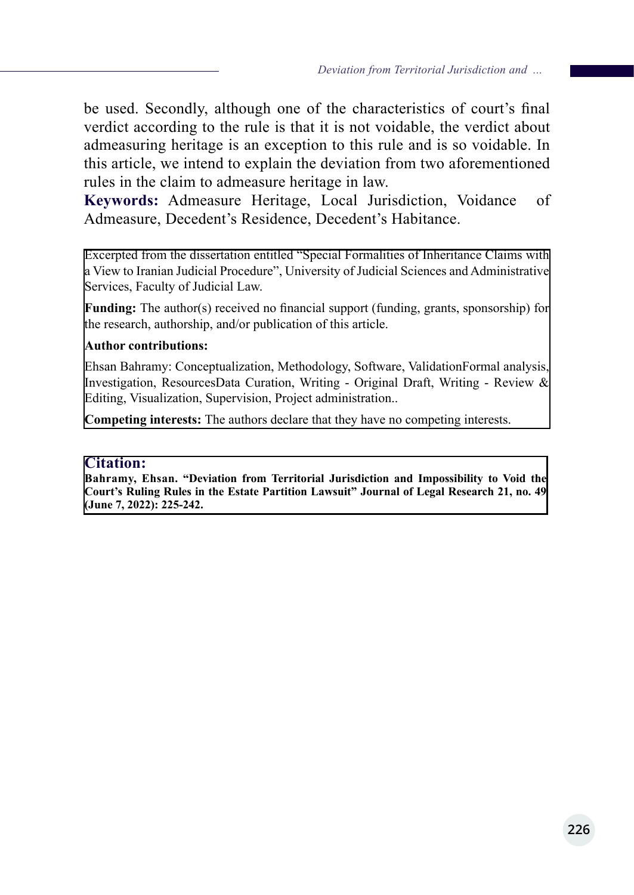be used. Secondly, although one of the characteristics of court's final verdict according to the rule is that it is not voidable, the verdict about admeasuring heritage is an exception to this rule and is so voidable. In this article, we intend to explain the deviation from two aforementioned rules in the claim to admeasure heritage in law.

**Keywords:** Admeasure Heritage, Local Jurisdiction, Voidance of Admeasure, Decedent's Residence, Decedent's Habitance.

Excerpted from the dissertation entitled "Special Formalities of Inheritance Claims with a View to Iranian Judicial Procedure", University of Judicial Sciences and Administrative Services, Faculty of Judicial Law.

**Funding:** The author(s) received no financial support (funding, grants, sponsorship) for the research, authorship, and/or publication of this article.

#### **Author contributions:**

Ehsan Bahramy: Conceptualization, Methodology, Software, ValidationFormal analysis, Investigation, ResourcesData Curation, Writing - Original Draft, Writing - Review & Editing, Visualization, Supervision, Project administration..

**Competing interests:** The authors declare that they have no competing interests.

#### **Citation:**

**Bahramy, Ehsan. "Deviation from Territorial Jurisdiction and Impossibility to Void the Court's Ruling Rules in the Estate Partition Lawsuit" Journal of Legal Research 21, no. 49 (June 7, 2022): 225-242.**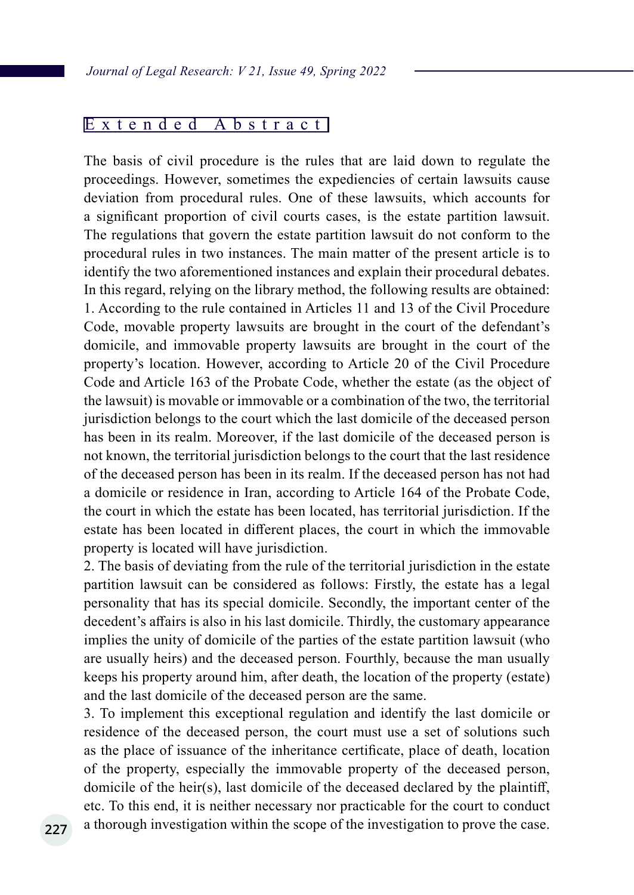### Extended Abstract

The basis of civil procedure is the rules that are laid down to regulate the proceedings. However, sometimes the expediencies of certain lawsuits cause deviation from procedural rules. One of these lawsuits, which accounts for a significant proportion of civil courts cases, is the estate partition lawsuit. The regulations that govern the estate partition lawsuit do not conform to the procedural rules in two instances. The main matter of the present article is to identify the two aforementioned instances and explain their procedural debates. In this regard, relying on the library method, the following results are obtained: 1. According to the rule contained in Articles 11 and 13 of the Civil Procedure Code, movable property lawsuits are brought in the court of the defendant's domicile, and immovable property lawsuits are brought in the court of the property's location. However, according to Article 20 of the Civil Procedure Code and Article 163 of the Probate Code, whether the estate (as the object of the lawsuit) is movable or immovable or a combination of the two, the territorial jurisdiction belongs to the court which the last domicile of the deceased person has been in its realm. Moreover, if the last domicile of the deceased person is not known, the territorial jurisdiction belongs to the court that the last residence of the deceased person has been in its realm. If the deceased person has not had a domicile or residence in Iran, according to Article 164 of the Probate Code, the court in which the estate has been located, has territorial jurisdiction. If the estate has been located in different places, the court in which the immovable property is located will have jurisdiction.

2. The basis of deviating from the rule of the territorial jurisdiction in the estate partition lawsuit can be considered as follows: Firstly, the estate has a legal personality that has its special domicile. Secondly, the important center of the decedent's affairs is also in his last domicile. Thirdly, the customary appearance implies the unity of domicile of the parties of the estate partition lawsuit (who are usually heirs) and the deceased person. Fourthly, because the man usually keeps his property around him, after death, the location of the property (estate) and the last domicile of the deceased person are the same.

3. To implement this exceptional regulation and identify the last domicile or residence of the deceased person, the court must use a set of solutions such as the place of issuance of the inheritance certificate, place of death, location of the property, especially the immovable property of the deceased person, domicile of the heir(s), last domicile of the deceased declared by the plaintiff, etc. To this end, it is neither necessary nor practicable for the court to conduct a thorough investigation within the scope of the investigation to prove the case.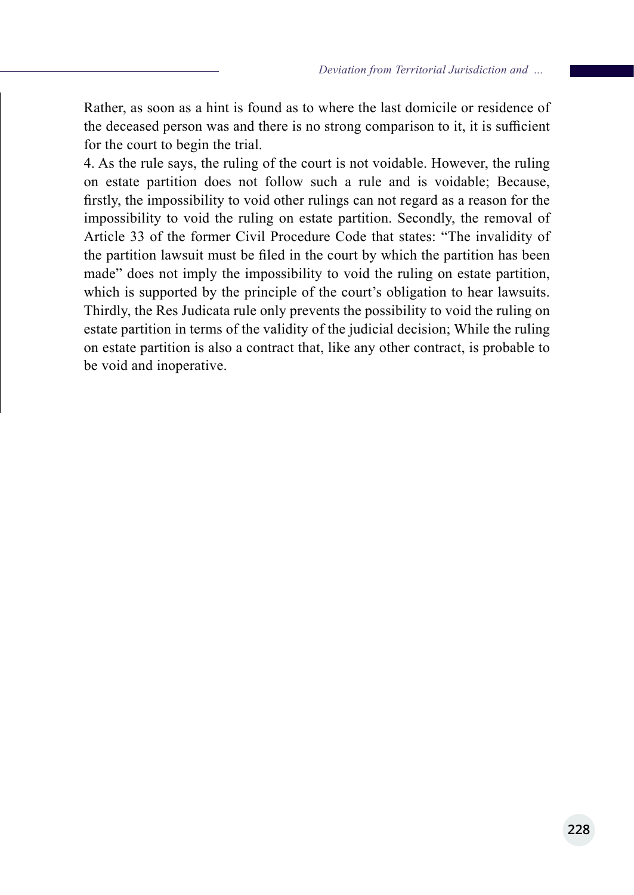Rather, as soon as a hint is found as to where the last domicile or residence of the deceased person was and there is no strong comparison to it, it is sufficient for the court to begin the trial.

4. As the rule says, the ruling of the court is not voidable. However, the ruling on estate partition does not follow such a rule and is voidable; Because, firstly, the impossibility to void other rulings can not regard as a reason for the impossibility to void the ruling on estate partition. Secondly, the removal of Article 33 of the former Civil Procedure Code that states: "The invalidity of the partition lawsuit must be filed in the court by which the partition has been made" does not imply the impossibility to void the ruling on estate partition, which is supported by the principle of the court's obligation to hear lawsuits. Thirdly, the Res Judicata rule only prevents the possibility to void the ruling on estate partition in terms of the validity of the judicial decision; While the ruling on estate partition is also a contract that, like any other contract, is probable to be void and inoperative.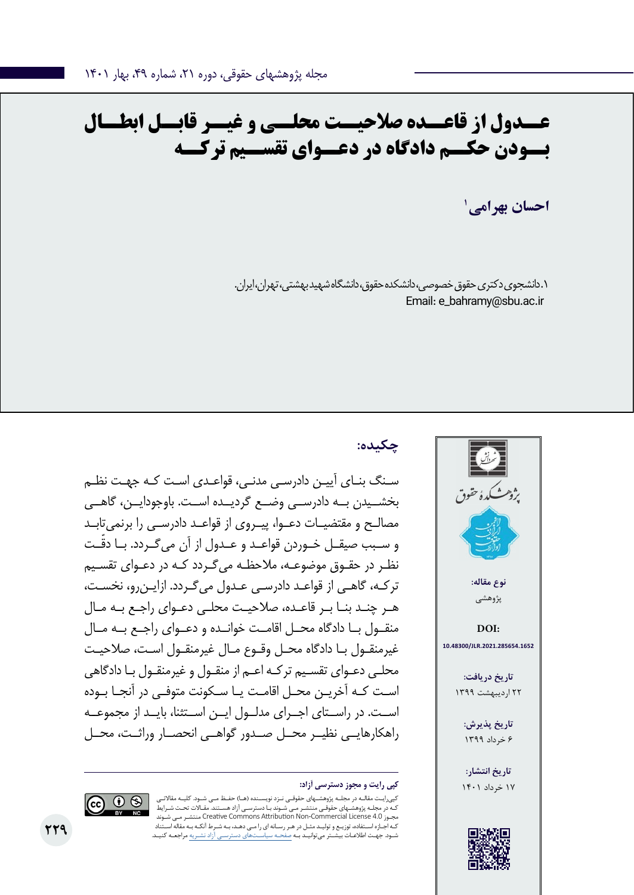# **عــدول از قاعــده صالحیــت محلــی و غیــر قابــل ابطــال بــودن حکــم دادگاه در دعــوای تقســیم ترکــه**

**1 احسان بهرامی**

.1 دانشجوی دکتری حقوق خصوصی، دانشکده حقوق، دانشگاه شهید بهشتی، تهران، ایران. Email: e\_bahramy@sbu.ac.ir

## **چکیده:**

سـنگ بنـای آییـن دادرسـی مدنـی، قواعـدی اسـت کـه جهـت نظـم بخشــیدن بــه دادرســی وضــع گردیــده اســت. باوجودایــن، گاهــی مصالـح و مقتضیـات دعـوا، پیـروی از قواعـد دادرسـی را برنمیتابـد و ســبب صیقــل خــوردن قواعــد و عــدول از آن می ّ گــردد. بــا دقــت نظـر در حقـوق موضوعـه، مالحظـه میگـردد کـه در دعـوای تقسـیم ترکـه، گاهـی از قواعـد دادرسـی عـدول میگـردد. ازایـنرو، نخسـت، هـر چنـد بنـا بـر قاعـده، صالحیـت محلـی دعـوای راجـع بـه مـال منقــول بــا دادگاه محــل اقامــت خوانــده و دعــوای راجــع بــه مــال غیرمنقـول بـا دادگاه محـل وقـوع مـال غیرمنقـول اسـت، صالحیـت محلـی دعـوای تقسـیم ترکـه اعـم از منقـول و غیرمنقـول بـا دادگاهی اسـت کـه آخریـن محـل اقامـت یـا سـکونت متوفـی در آنجـا بـوده اســت. در راســتای اجــرای مدلــول ایــن اســتثنا، بایــد از مجموعــه راهکارهایــی نظیــر محــل صــدور گواهــی انحصــار وراثــت، محــل





کپیرایـت مقالـه در مجلـه پژوهشـهای حقوقـی نـزد نویسـنده )هـا( حفـظ مـی شـود. کلیـه مقاالتـی کـه در مجلـه پژوهشـهای حقوقـی منتشـر مـی شـوند بـا دسترسـی آزاد هسـتند. مقـاالت تحـت شـرایط شـوند مـی منتشـر Creative Commons Attribution Non-Commercial License 4.0 مجـوز کـه اجـازه اسـتفاده، توزیـع و تولیـد مثـل در هـر رسـانه ای را مـی دهـد، بـه شـرط آنکـه بـه مقاله اسـتناد شـود. جهـت اطالعـات بیشـتر میتوانیـد بـه صفحـه سیاسـتهای دسترسـی آزاد نشـریه مراجعـه کنیـد.



**229**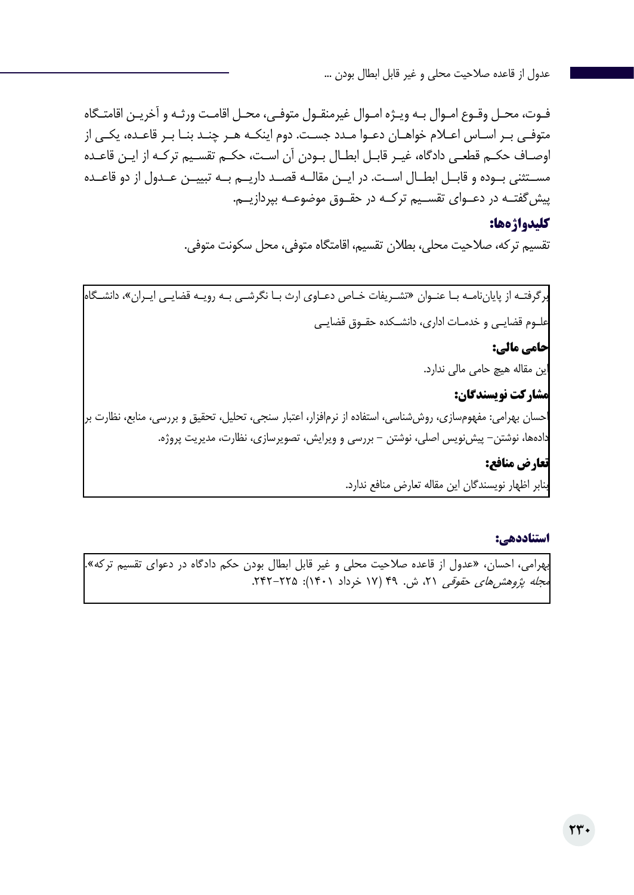فـوت، محـل وقـوع امـوال بـه ویـژه امـوال غیرمنقـول متوفـی، محـل اقامـت ورثـه و آخریـن اقامتـگاه متوفـی بـر اسـاس اعـام خواهـان دعـوا مـدد جسـت. دوم اینکـه هـر چنـد بنـا بـر قاعـده، یکـی از اوصـاف حکـم قطعـی دادگاه، غیـر قابـل ابطـال بـودن آن اسـت، حکـم تقسـیم ترکـه از ایـن قاعـده مســتثنی بــوده و قابــل ابطــال اســت. در ایــن مقالــه قصــد داریــم بــه تبییــن عــدول از دو قاعــده پیشگفتــه در دعــوای تقســیم ترکــه در حقــوق موضوعــه بپردازیــم.

#### **کلیدواژهها:**

تقسیم ترکه، صالحیت محلی، بطالن تقسیم، اقامتگاه متوفی، محل سکونت متوفی.

برگرفتـه از پایاننامـه بـا عنـوان »تشـریفات خـاص دعـاوی ارث بـا نگرشـی بـه رویـه قضایـی ایـران«، دانشـگاه علـوم قضایـی و خدمـات اداری، دانشـکده حقـوق قضایـی **حامی مالی:**  این مقاله هیچ حامی مالی ندارد. **مشارکت نویسندگان:**  احسان بهرامی: مفهومسازی، روششناسی، استفاده از نرمافزار، اعتبار سنجی، تحلیل، تحقیق و بررسی، منابع، نظارت بر دادهها، نوشتن- پیشنویس اصلی، نوشتن - بررسی و ویرایش، تصویرسازی، نظارت، مدیریت پروژه. **تعارض منافع:** 

بنابر اظهار نویسندگان این مقاله تعارض منافع ندارد.

#### **استناددهی:**

بهرامی، احسان، »عدول از قاعده صالحیت محلی و غیر قابل ابطال بودن حکم دادگاه در دعوای تقسیم ترکه«. مجله پژوهشهای حقوقی ۲۱، ش. ۴۹ (۱۷ خرداد ۱۴۰۱): ۲۲۵–۲۴۲.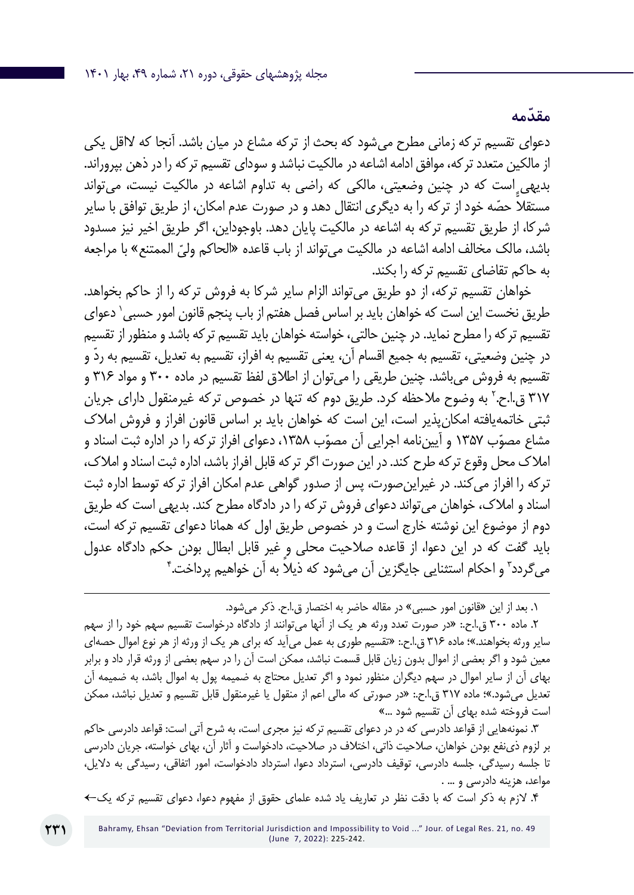دعوای تقسیم ترکه زمانی مطرح میشود که بحث از ترکه مشاع در میان باشد. آنجا که الاقل یکی از مالکین متعدد ترکه، موافق ادامه اشاعه در مالکیت نباشد و سودای تقسیم ترکه را در ذهن بپروراند. بدیهی است که در چنین وضعیتی، مالکی که راضی به تداوم اشاعه در مالکیت نیست، میتواند مستقلا حصّه خود از ترکه را به دیگری انتقال دهد و در صورت عدم امکان، از طریق توافق با سایر .<br>. شرکا، از طریق تقسیم ترکه به اشاعه در مالکیت پایان دهد. باوجوداین، اگر طریق اخیر نیز مسدود باشد، مالک مخالف ادامه اشاعه در مالکیت میتواند از باب قاعده «الحاکم ولیّ الممتنع» با مراج<del>ع</del>ه به حاکم تقاضای تقسیم ترکه را بکند.

خواهان تقسیم ترکه، از دو طریق میتواند الزام سایر شرکا به فروش ترکه را از حاکم بخواهد. طریق نخست این است که خواهان باید بر اساس فصل هفتم از باب پنجم قانون امور حسبی` دعوای تقسیم ترکه را مطرح نماید. در چنین حالتی، خواسته خواهان باید تقسیم ترکه باشد و منظور از تقسیم ّ در چنین وضعیتی، تقسیم به جمیع اقسام آن، یعنی تقسیم به افراز، تقسیم به تعدیل، تقسیم به رد و تقسیم به فروش میباشد. چنین طریقی را میتوان از اطالق لفظ تقسیم در ماده 300 و مواد 316 و ۳۱۷ ق.ا.ح.<sup>۲</sup> به وضوح ملاحظه کرد. طریق دوم که تنها در خصوص ترکه غیرمنقول دارای جریان ثبتی خاتمهیافته امکانپذیر است، این است که خواهان باید بر اساس قانون افراز و فروش امالک مشاع مصوّب ۱۳۵۷ و آیینiامه اجرایی آن مصوّب ۱۳۵۸، دعوای افراز ترکه را در اداره ثبت اسناد و امالک محل وقوع ترکه طرح کند. در این صورت اگر ترکه قابل افراز باشد، اداره ثبت اسناد و امالک، ترکه را افراز میکند. در غیراینصورت، پس از صدور گواهی عدم امکان افراز ترکه توسط اداره ثبت اسناد و امالک، خواهان میتواند دعوای فروش ترکه را در دادگاه مطرح کند. بدیهی است که طریق دوم از موضوع این نوشته خارج است و در خصوص طریق اول که همانا دعوای تقسیم ترکه است، باید گفت که در این دعوا، از قاعده صالحیت محلی و غیر قابل ابطال بودن حکم دادگاه عدول میگردد<sup>۳</sup> و احکام استثنایی جایگزین آن میشود که ذیلاً به آن خواهیم پرداخت.<sup>۴</sup>

.1 بعد از این »قانون امور حسبی« در مقاله حاضر به اختصار ق.ا.ح. ذکر میشود.

.2 ماده 300 ق.ا.ح:. »در صورت تعدد ورثه هر یک از آنها میتوانند از دادگاه درخواست تقسیم سهم خود را از سهم سایر ورثه بخواهند.«؛ ماده 316 ق.ا.ح:. »تقسیم طوری به عمل میآید که برای هر یک از ورثه از هر نوع اموال حصهای معین شود و اگر بعضی از اموال بدون زیان قابل قسمت نباشد، ممکن است آن را در سهم بعضی از ورثه قرار داد و برابر بهای آن از سایر اموال در سهم دیگران منظور نمود و اگر تعدیل محتاج به ضمیمه پول به اموال باشد، به ضمیمه آن تعدیل میشود.«؛ ماده 317 ق.ا.ح:. »در صورتی که مالی اعم از منقول یا غیرمنقول قابل تقسیم و تعدیل نباشد، ممکن است فروخته شده بهای آن تقسیم شود ...«

.3 نمونههایی از قواعد دادرسی که در در دعوای تقسیم ترکه نیز مجری است، به شرح آتی است: قواعد دادرسی حاکم بر لزوم ذینفع بودن خواهان، صالحیت ذاتی، اختالف در صالحیت، دادخواست و آثار آن، بهای خواسته، جریان دادرسی تا جلسه رسیدگی، جلسه دادرسی، توقیف دادرسی، استرداد دعوا، استرداد دادخواست، امور اتفاقی، رسیدگی به دالیل، مواعد، هزینه دادرسی و ... .

.4 الزم به ذکر است که با دقت نظر در تعاریف یاد شده علمای حقوق از مفهوم دعوا، دعوای تقسیم ترکه یک←

**ّ مقدمه**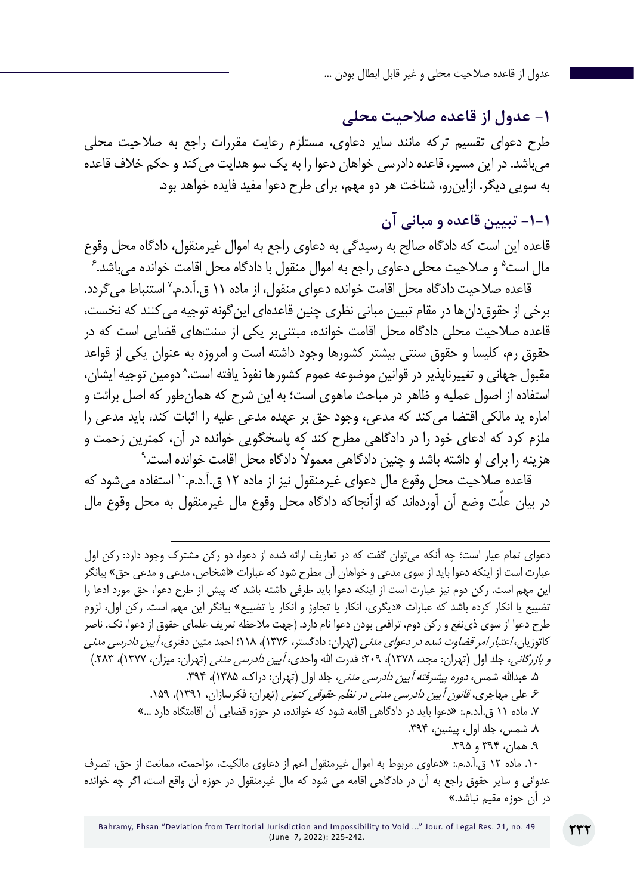## **-1 عدول از قاعده صالحیت محلی**

طرح دعوای تقسیم ترکه مانند سایر دعاوی، مستلزم رعایت مقررات راجع به صالحیت محلی میباشد. در این مسیر، قاعده دادرسی خواهان دعوا را به یک سو هدایت میکند و حکم خالف قاعده به سویی دیگر. ازاینرو، شناخت هر دو مهم، برای طرح دعوا مفید فایده خواهد بود.

## **-1-1 تبیین قاعده و مبانی آن**

6 قاعده این است که دادگاه صالح به رسیدگی به دعاوی راجع به اموال غیرمنقول، دادگاه محل وقوع مال است<sup>ه</sup> و صلاحیت محلی دعاوی راجع به اموال منقول با دادگاه محل اقامت خوانده میباشد.

قاعده صلاحیت دادگاه محل اقامت خوانده دعوای منقول، از ماده ۱۱ ق.آ.د.م.<sup>۷</sup> استنباط می *گ*ردد. برخی از حقوقدانها در مقام تبیین مبانی نظری چنین قاعدهای اینگونه توجیه میکنند که نخست، قاعده صالحیت محلی دادگاه محل اقامت خوانده، مبتنیبر یکی از سنتهای قضایی است که در حقوق رم، کلیسا و حقوق سنتی بیشتر کشورها وجود داشته است و امروزه به عنوان یکی از قواعد مقبول جهانی و تغییرناپذیر در قوانین موضوعه عموم کشورها نفوذ یافته است.^ دومین توجیه ایشان، استفاده از اصول عملیه و ظاهر در مباحث ماهوی است؛ به این شرح که همانطور که اصل برائت و اماره ید مالکی اقتضا میکند که مدعی، وجود حق بر عهده مدعی علیه را اثبات کند، باید مدعی را 9 ملزم کرد که ادعای خود را در دادگاهی مطرح کند که پاسخگویی خوانده در آن، کمترین زحمت و ً هزینه را برای او داشته باشد و چنین دادگاهی معموال دادگاه محل اقامت خوانده است.

قاعده صالحیت محل وقوع مال دعوای غیرمنقول نیز از ماده 12 ق.آ.د.م10. استفاده میشود که در بیان علّت وضع آن آوردهاند که ازآنجاکه دادگاه محل وقوع مال غیرمنقول به محل وقوع مال

دعوای تمام عیار است؛ چه آنکه میتوان گفت که در تعاریف ارائه شده از دعوا، دو رکن مشترک وجود دارد: رکن اول عبارت است از اینکه دعوا باید از سوی مدعی و خواهان آن مطرح شود که عبارات »اشخاص، مدعی و مدعی حق« بیانگر این مهم است. رکن دوم نیز عبارت است از اینکه دعوا باید طرفی داشته باشد که پیش از طرح دعوا، حق مورد ادعا را تضییع یا انکار کرده باشد که عبارات »دیگری، انکار یا تجاوز و انکار یا تضییع« بیانگر این مهم است. رکن اول، لزوم طرح دعوا از سوی ذینفع و رکن دوم، ترافعی بودن دعوا نام دارد. )جهت مالحظه تعریف علمای حقوق از دعوا، نک. ناصر کاتوزیان، *اعتبار امر قضاوت شده در دعوای مدنی* (تهران: دادگستر، ۱۳۷۶)، ۱۱۸؛ احمد متین دفتری، *آیین دادرسی مدنی و بازرگانی،* جلد اول (تهران: مجد، ۱۳۷۸)، ۲۰۹؛ قدرت الله واحدی، *آیین دادرسی مدنی* (تهران: میزان، ۱۳۷۷)، ۲۸۳.) ۵. عبدالله شمس، *دوره پیشرفته آیین دادرسی مدنی*، جلد اول (تهران: دراک، ۱۳۸۵)، ۳۹۴. ۶. علی مهاجری، *قانون آیین دادرسی مدنی در نظم حقوقی کنونی* (تهران: فکرسازان، ۱۳۹۱)، ۱۵۹. .7 ماده 11 ق.آ.د.م:. »دعوا باید در دادگاهی اقامه شود که خوانده، در حوزه قضایی آن اقامتگاه دارد ...« .8 شمس، جلد اول، پیشین، .394 ۹. همان، ۳۹۴ و ۳۹۵. .10 ماده 12 ق.آ.د.م:. »دعاوی مربوط به اموال غیرمنقول اعم از دعاوی مالکیت، مزاحمت، ممانعت از حق، تصرف

عدوانی و سایر حقوق راجع به آن در دادگاهی اقامه می شود که مال غیرمنقول در حوزه آن واقع است، اگر چه خوانده در آن حوزه مقیم نباشد.«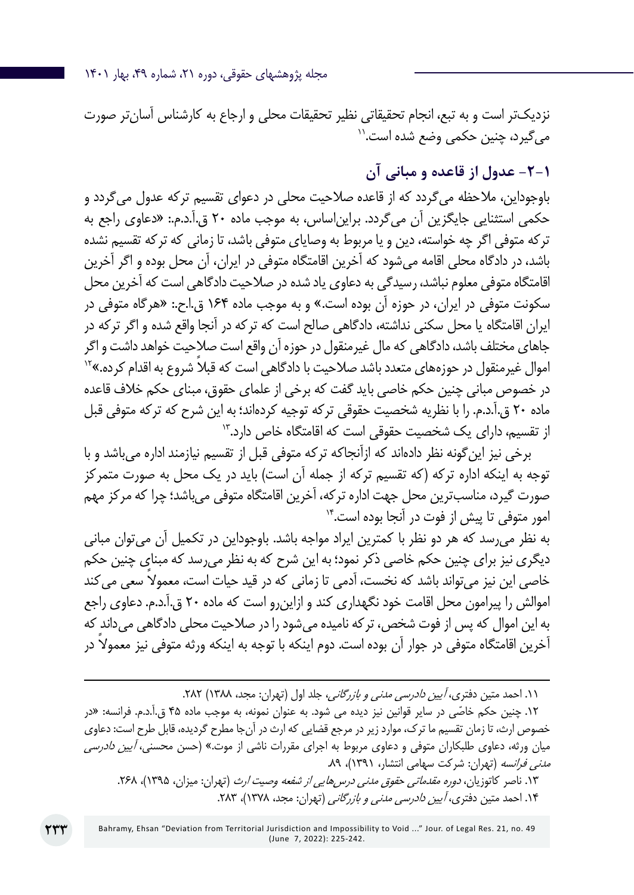مجله پژوهشهای حقوقی، دوره ۲۱، شماره ۴۹، بهار ۱۴۰۱

نزدیکتر است و به تبع، انجام تحقیقاتی نظیر تحقیقات محلی و ارجاع به کارشناس آسانتر صورت<br>می گیرد، چنین حکمی وضع شده است.<sup>۱۱</sup>

**-2-1 عدول از قاعده و مبانی آن**

باوجوداین، مالحظه میگردد که از قاعده صالحیت محلی در دعوای تقسیم ترکه عدول میگردد و حکمی استثنایی جایگزین آن میگردد. برایناساس، به موجب ماده 20 ق.آ.د.م:. »دعاوی راجع به ترکه متوفی اگر چه خواسته، دین و یا مربوط به وصایای متوفی باشد، تا زمانی که ترکه تقسیم نشده باشد، در دادگاه محلی اقامه میشود که آخرین اقامتگاه متوفی در ایران، آن محل بوده و اگر آخرین اقامتگاه متوفی معلوم نباشد، رسیدگی به دعاوی یاد شده در صالحیت دادگاهی است که آخرین محل سکونت متوفی در ایران، در حوزه آن بوده است.« و به موجب ماده 164 ق.ا.ح:. »هرگاه متوفی در ایران اقامتگاه یا محل سکنی نداشته، دادگاهی صالح است که ترکه در آنجا واقع شده و اگر ترکه در جاهای مختلف باشد، دادگاهی که مال غیرمنقول در حوزه آن واقع است صالحیت خواهد داشت و اگر اموال غیرمنقول در حوزههای متعدد باشد صلاحیت با دادگاهی است که قبلاً شروع به اقدام کرده.»<sup>۱۲</sup> در خصوص مبانی چنین حکم خاصی باید گفت که برخی از علمای حقوق، مبنای حکم خالف قاعده ماده ۲۰ ق.آ.د.م. را با نظریه شخصیت حقوقی ترکه توجیه کردهاند؛ به این شرح که ترکه متوفی قبل از تقسیم، دارای یک شخصیت حقوقی است که اقامتگاه خاص دارد13.

برخی نیز اینگونه نظر دادهاند که ازآنجاکه ترکه متوفی قبل از تقسیم نیازمند اداره میباشد و با توجه به اینکه اداره ترکه (که تقسیم ترکه از جمله آن است) باید در یک محل به صورت متمرکز صورت گیرد، مناسبترین محل جهت اداره ترکه، آخرین اقامتگاه متوفی میباشد؛ چرا که مرکز مهم امور متوفی تا پیش از فوت در آنجا بوده است14.

به نظر میرسد که هر دو نظر با کمترین ایراد مواجه باشد. باوجوداین در تکمیل آن میتوان مبانی دیگری نیز برای چنین حکم خاصی ذکر نمود؛ به این شرح که به نظر میرسد که مبنای چنین حکم خاصی این نیز می ً تواند باشد که نخست، آدمی تا زمانی که در قید حیات است، معموال سعی میکند اموالش را پیرامون محل اقامت خود نگهداری کند و ازاینرو است که ماده ۲۰ ق.آ.د.م. دعاوی راجع به این اموال که پس از فوت شخص، ترکه نامیده میشود را در صالحیت محلی دادگاهی میداند که ً آخرین اقامتگاه متوفی در جوار آن بوده است. دوم اینکه با توجه به اینکه ورثه متوفی نیز معموال در

۰۱۱ احمد متین دفتری، *آیین دادرسی مدنی و بازرگانی*، جلد اول (تهران: مجد، ۱۳۸۸) ۲۸۲.

.12 ّ چنین حکم خاصی در سایر قوانین نیز دیده می شود. به عنوان نمونه، به موجب ماده 45 ق.آ.د.م. فرانسه: »در خصوص ارث، تا زمان تقسیم ما ترک، موارد زیر در مرجع قضایی که ارث در آنجا مطرح گردیده، قابل طرح است: دعاوی میان ورثه، دعاوی طلبکاران متوفی و دعاوی مربوط به اجرای مقررات ناشی از موت.» (حسن محسنی، *آیین دادرسی* م*دنی فرانسه* (تهران: شرکت سهامی انتشار، ۱۳۹۱)، ۸۹.

۱۳. ناصر کاتوزیان، *دوره مقدماتی حقوق مدنی درس هایی از شفعه وصیت ارث* (تهران: میزان، ۱۳۹۵)، ۲۶۸. ۱۴. احمد متین دفتری، *آیین دادرسی مدنی و بازرگانی* (تهران: مجد، ۱۳۷۸)، ۲۸۳.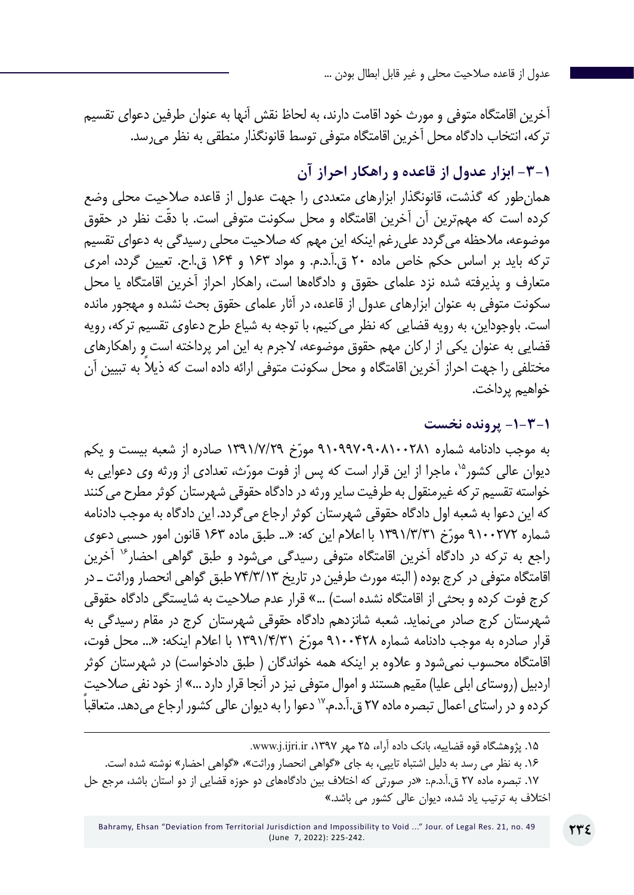آخرین اقامتگاه متوفی و مورث خود اقامت دارند، به لحاظ نقش آنها به عنوان طرفین دعوای تقسیم ترکه، انتخاب دادگاه محل آخرین اقامتگاه متوفی توسط قانونگذار منطقی به نظر میرسد.

**-3-1 ابزار عدول از قاعده و راهکار احراز آن**

همانطور که گذشت، قانونگذار ابزارهای متعددی را جهت عدول از قاعده صالحیت محلی وضع کرده است که مهمترین آن آخرین اقامتگاه و محل سکونت متوفی است. با دقّت نظر در حقوق موضوعه، مالحظه میگردد علیرغم اینکه این مهم که صالحیت محلی رسیدگی به دعوای تقسیم ترکه باید بر اساس حکم خاص ماده 20 ق.آ.د.م. و مواد 163 و 164 ق.ا.ح. تعیین گردد، امری متعارف و پذیرفته شده نزد علمای حقوق و دادگاهها است، راهکار احراز آخرین اقامتگاه یا محل سکونت متوفی به عنوان ابزارهای عدول از قاعده، در آثار علمای حقوق بحث نشده و مهجور مانده است. باوجوداین، به رویه قضایی که نظر میکنیم، با توجه به شیاع طرح دعاوی تقسیم ترکه، رویه قضایی به عنوان یکی از ارکان مهم حقوق موضوعه، الجرم به این امر پرداخته است و راهکارهای ً مختلفی را جهت احراز آخرین اقامتگاه و محل سکونت متوفی ارائه داده است که ذیال به تبیین آن خواهیم پرداخت.

#### **-1-3-1 پرونده نخست**

به موجب دادنامه شماره ۹۱۰۹۹۷۰۹۰۸۱۰۰۲۸۱ مورّخ ۱۳۹۱/۷/۲۹ صادره از شعبه بیست و یکم دیوان عالی کشور<sup>ه</sup>'، ماجرا از این قرار است که پس از فوت مورّث، تعدادی از ورثه وی دعوایی به خواسته تقسیم ترکه غیرمنقول به طرفیت سایر ورثه در دادگاه حقوقی شهرستان کوثر مطرح میکنند که این دعوا به شعبه اول دادگاه حقوقی شهرستان کوثر ارجاع میگردد. این دادگاه به موجب دادنامه ّخ 1391/3/31 با اعالم این که: »... طبق ماده 163 قانون امور حسبی دعوی شماره 9100272 مور راجع به ترکه در دادگاه آخرین اقامتگاه متوفی رسیدگی میشود و طبق گواهی احضار16 آخرین اقامتگاه متوفی در کرج بوده ) البته مورث طرفین در تاریخ 74/3/13 طبق گواهی انحصار وراثت ـ در کرج فوت کرده و بحثی از اقامتگاه نشده است) …» قرار عدم صلاحیت به شایستگی دادگاه حقوقی شهرستان کرج صادر مینماید. شعبه شانزدهم دادگاه حقوقی شهرستان کرج در مقام رسیدگی به قرار صادره به موجب دادنامه شماره ۹۱۰۰۴۲۸ مورّخ ۱۳۹۱/۴/۳۱ با اعلام اینکه: «... محل فوت، اقامتگاه محسوب نمیشود و علاوه بر اینکه همه خواندگان ( طبق دادخواست) در شهرستان کوثر اردبیل (روستای ابلی علیا) مقیم هستند و اموال متوفی نیز در آنجا قرار دارد ...» از خود نفی صلاحیت کرده و در راستای اعمال تبصره ماده ٢٧ ق.آ.د.م." دعوا را به دیوان عالی کشور ارجاع می دهد. متعاقبا

۱۵. پژوهشگاه قوه قضاییه، بانک داده آراء، ۲۵ مهر ۱۳۹۷، www.j.ijri.ir. .16 به نظر می رسد به دلیل اشتباه تایپی، به جای »گواهی انحصار وراثت«، »گواهی احضار« نوشته شده است. .17 تبصره ماده 27 ق.آ.د.م:. »در صورتی که اختالف بین دادگاههای دو حوزه قضایی از دو استان باشد، مرجع حل اختالف به ترتیب یاد شده، دیوان عالی کشور می باشد.«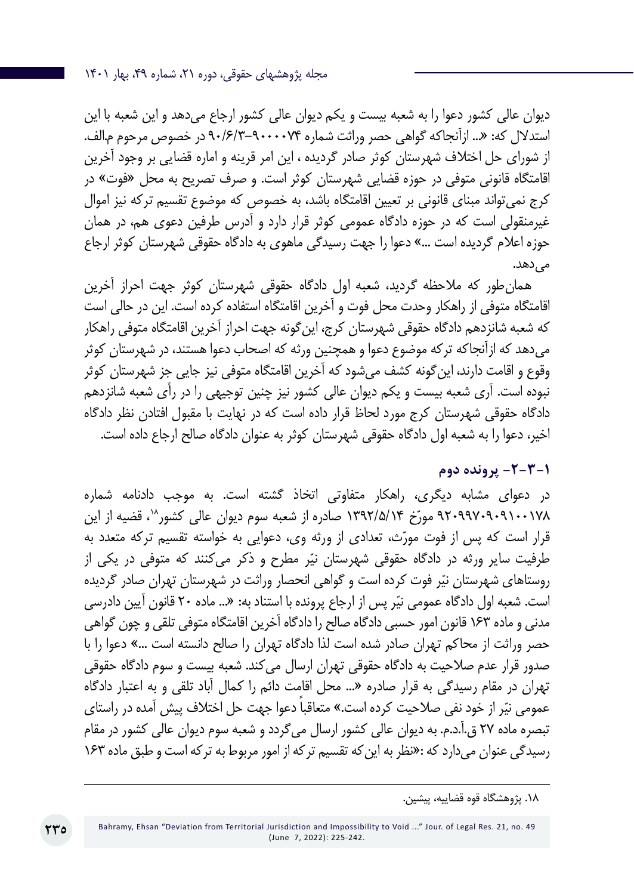دیوان عالی کشور دعوا را به شعبه بیست و یکم دیوان عالی کشور ارجاع میدهد و این شعبه با این استدالل که: »... ازآنجاکه گواهی حصر وراثت شماره 90/6/3-9000074 در خصوص مرحوم م.الف. از شورای حل اختالف شهرستان کوثر صادر گردیده ، این امر قرینه و اماره قضایی بر وجود آخرین اقامتگاه قانونی متوفی در حوزه قضایی شهرستان کوثر است. و صرف تصریح به محل »فوت« در کرج نمیتواند مبنای قانونی بر تعیین اقامتگاه باشد، به خصوص که موضوع تقسیم ترکه نیز اموال غیرمنقولی است که در حوزه دادگاه عمومی کوثر قرار دارد و آدرس طرفین دعوی هم، در همان حوزه اعالم گردیده است ...« دعوا را جهت رسیدگی ماهوی به دادگاه حقوقی شهرستان کوثر ارجاع میدهد.

همانطور که مالحظه گردید، شعبه اول دادگاه حقوقی شهرستان کوثر جهت احراز آخرین اقامتگاه متوفی از راهکار وحدت محل فوت و آخرین اقامتگاه استفاده کرده است. این در حالی است که شعبه شانزدهم دادگاه حقوقی شهرستان کرج، اینگونه جهت احراز آخرین اقامتگاه متوفی راهکار میدهد که ازآنجاکه ترکه موضوع دعوا و همچنین ورثه که اصحاب دعوا هستند، در شهرستان کوثر وقوع و اقامت دارند، اینگونه کشف میشود که آخرین اقامتگاه متوفی نیز جایی جز شهرستان کوثر نبوده است. آری شعبه بیست و یکم دیوان عالی کشور نیز چنین توجیهی را در رأی شعبه شانزدهم دادگاه حقوقی شهرستان کرج مورد لحاظ قرار داده است که در نهایت با مقبول افتادن نظر دادگاه اخیر، دعوا را به شعبه اول دادگاه حقوقی شهرستان کوثر به عنوان دادگاه صالح ارجاع داده است.

## **-2-3-1 پرونده دوم**

در دعوای مشابه دیگری، راهکار متفاوتی اتخاذ گشته است. به موجب دادنامه شماره ۹۲۰۹۹۷۰۹۰۹۱۰۰۱۷۸ مورّخ ۱۳۹۲/۵/۱۴ صادره از شعبه سوم دیوان عالی کشور^`، قضیه از این قرار است که پس از فوت مورّث، تعدادی از ورثه وی، دعوایی به خواسته تقسیم ترکه متعدد به طرفیت سایر ورثه در دادگاه حقوقی شهرستان نیّر مطرح و ذکر میکنند که متوفی در یکی از روستاهای شهرستان نیّر فوت کرده است و گواهی انحصار وراثت در شهرستان تهران صادر گردیده است. شعبه اول دادگاه عمومی نیّر پس از ارجاع پرونده با استناد به: «... ماده ۲۰ قانون آیین دادرسی مدنی و ماده 163 قانون امور حسبی دادگاه صالح را دادگاه آخرین اقامتگاه متوفی تلقی و چون گواهی حصر وراثت از محاکم تهران صادر شده است لذا دادگاه تهران را صالح دانسته است ...« دعوا را با صدور قرار عدم صالحیت به دادگاه حقوقی تهران ارسال میکند. شعبه بیست و سوم دادگاه حقوقی تهران در مقام رسیدگی به قرار صادره »... محل اقامت دائم را کمال آباد تلقی و به اعتبار دادگاه عمومی نیّر از خود نفی صلاحیت کرده است.» متعاقباً دعوا جهت حل اختلاف پیش آمده در راستای تبصره ماده 27 ق.آ.د.م. به دیوان عالی کشور ارسال میگردد و شعبه سوم دیوان عالی کشور در مقام رسیدگی عنوان میدارد که :»نظر به اینکه تقسیم ترکه از امور مربوط به ترکه است و طبق ماده 163

**730** 

<sup>.18</sup> پژوهشگاه قوه قضاییه، پیشین.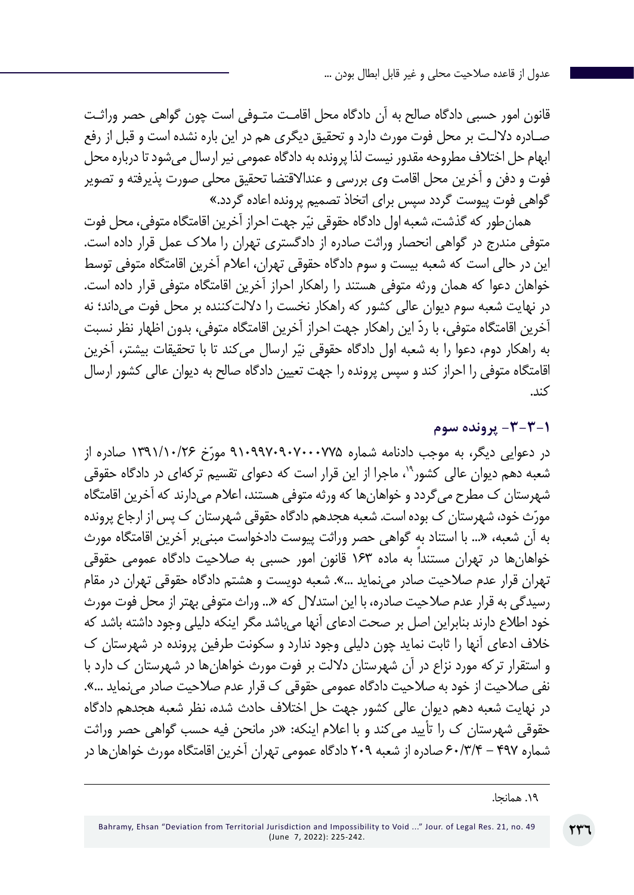قانون امور حسبی دادگاه صالح به آن دادگاه محل اقامـت متـوفی است چون گواهی حصر وراثـت صـادره داللـت بر محل فوت مورث دارد و تحقیق دیگری هم در این باره نشده است و قبل از رفع ابهام حل اختالف مطروحه مقدور نیست لذا پرونده به دادگاه عمومی نیر ارسال میشود تا درباره محل فوت و دفن و آخرین محل اقامت وی بررسی و عنداالقتضا تحقیق محلی صورت پذیرفته و تصویر گواهی فوت پیوست گردد سپس برای اتخاذ تصمیم پرونده اعاده گردد.«

همان طور که گذشت، شعبه اول دادگاه حقوقی نیّر جهت احراز آخرین اقامتگاه متوفی، محل فوت متوفی مندرج در گواهی انحصار وراثت صادره از دادگستری تهران را مالک عمل قرار داده است. این در حالی است که شعبه بیست و سوم دادگاه حقوقی تهران، اعالم آخرین اقامتگاه متوفی توسط خواهان دعوا که همان ورثه متوفی هستند را راهکار احراز آخرین اقامتگاه متوفی قرار داده است. در نهایت شعبه سوم دیوان عالی کشور که راهکار نخست را داللتکننده بر محل فوت میداند؛ نه ّ آخرین اقامتگاه متوفی، با رد این راهکار جهت احراز آخرین اقامتگاه متوفی، بدون اظهار نظر نسبت به راهکار دوم، دعوا را به شعبه اول دادگاه حقوقی نیّر ارسال میکند تا با تحقیقات بیشتر، آخرین اقامتگاه متوفی را احراز کند و سپس پرونده را جهت تعیین دادگاه صالح به دیوان عالی کشور ارسال کند.

**-3-3-1 پرونده سوم**

در دعوایی دیگر، به موجب دادنامه شماره ۹۱۰۹۹۷۰۹۰۷۰۰۷۲۵ میادره از شعبه دهم دیوان عالی کشور<sup>۹</sup>'، ماجرا از این قرار است که دعوای تقسیم ترکهای در دادگاه حقوقی شهرستان ک مطرح میگردد و خواهانها که ورثه متوفی هستند، اعالم میدارند که آخرین اقامتگاه مورّث خود، شهرستان ک بوده است. شعبه هجدهم دادگاه حقوقی شهرستان ک پس از ارجاع پرونده به آن شعبه، »... با استناد به گواهی حصر وراثت پیوست دادخواست مبنیبر آخرین اقامتگاه مورث خواهانها در تهران مستنداً به ماده 163 قانون امور حسبی به صالحیت دادگاه عمومی حقوقی تهران قرار عدم صالحیت صادر مینماید ...«. شعبه دویست و هشتم دادگاه حقوقی تهران در مقام رسیدگی به قرار عدم صالحیت صادره، با این استدالل که »... وراث متوفی بهتر از محل فوت مورث خود اطالع دارند بنابراین اصل بر صحت ادعای آنها میباشد مگر اینکه دلیلی وجود داشته باشد که خالف ادعای آنها را ثابت نماید چون دلیلی وجود ندارد و سکونت طرفین پرونده در شهرستان ک و استقرار ترکه مورد نزاع در آن شهرستان داللت بر فوت مورث خواهانها در شهرستان ک دارد با نفی صالحیت از خود به صالحیت دادگاه عمومی حقوقی ک قرار عدم صالحیت صادر مینماید ...«. در نهایت شعبه دهم دیوان عالی کشور جهت حل اختالف حادث شده، نظر شعبه هجدهم دادگاه حقوقی شهرستان ک را تأیید میکند و با اعالم اینکه: »در مانحن فیه حسب گواهی حصر وراثت شماره 497 - 60/3/4 صادره از شعبه 209 دادگاه عمومی تهران آخرین اقامتگاه مورث خواهانها در

<sup>.19</sup> همانجا.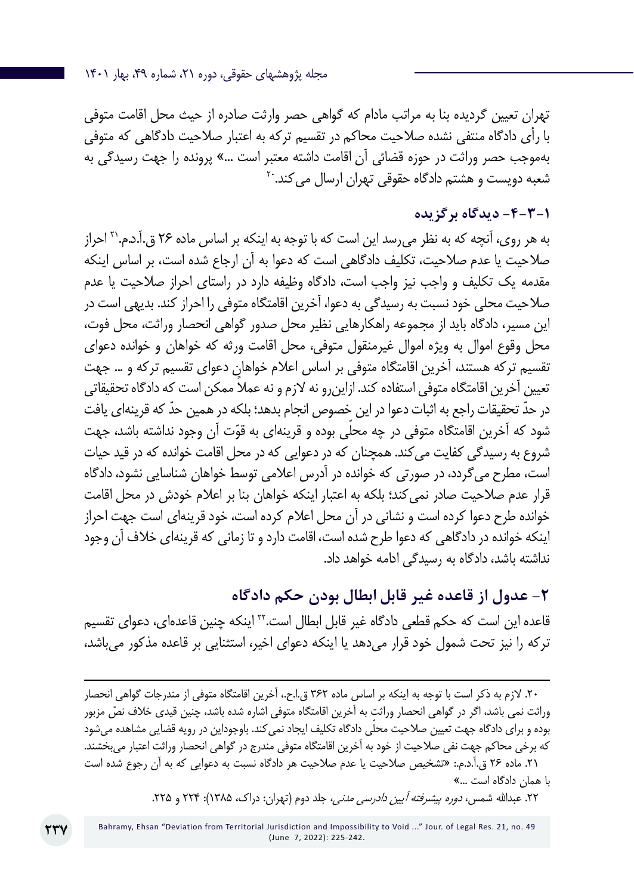مجله پژوهشهای حقوقی، دوره ۲۱، شماره ۴۹، بهار ۱۴۰۱

تهران تعیین گردیده بنا به مراتب مادام که گواهی حصر وارثت صادره از حیث محل اقامت متوفی با رأی دادگاه منتفی نشده صالحیت محاکم در تقسیم ترکه به اعتبار صالحیت دادگاهی که متوفی بهموجب حصر وراثت در حوزه قضائی آن اقامت داشته معتبر است ...« پرونده را جهت رسیدگی به شعبه دویست و هشتم دادگاه حقوقی تهران ارسال می کند.<sup>۲۰</sup>

## **-4-3-1 دیدگاه برگزیده**

به هر روی، آنچه که به نظر میرسد این است که با توجه به اینکه بر اساس ماده 26 ق.آ.د.م21. احراز صالحیت یا عدم صالحیت، تکلیف دادگاهی است که دعوا به آن ارجاع شده است، بر اساس اینکه مقدمه یک تکلیف و واجب نیز واجب است، دادگاه وظیفه دارد در راستای احراز صالحیت یا عدم صالحیت محلی خود نسبت به رسیدگی به دعوا، آخرین اقامتگاه متوفی را احراز کند. بدیهی است در این مسیر، دادگاه باید از مجموعه راهکارهایی نظیر محل صدور گواهی انحصار وراثت، محل فوت، محل وقوع اموال به ویژه اموال غیرمنقول متوفی، محل اقامت ورثه که خواهان و خوانده دعوای تقسیم ترکه هستند، آخرین اقامتگاه متوفی بر اساس اعالم خواهان دعوای تقسیم ترکه و ... جهت تعیین آخرین اقامتگاه متوفی استفاده کند. ازاین و نه لازم و نه عملاً ممکن است که دادگاه تحقیقاتی ّ در حد ّ تحقیقات راجع به اثبات دعوا در این خصوص انجام بدهد؛ بلکه در همین حد که قرینهای یافت شود که آخرین اقامتگاه متوفی در چه محلّی بوده و قرینهای به قوّت آن وجود نداشته باشد، جهت شروع به رسیدگی کفایت میکند. همچنان که در دعوایی که در محل اقامت خوانده که در قید حیات است، مطرح میگردد، در صورتی که خوانده در آدرس اعالمی توسط خواهان شناسایی نشود، دادگاه قرار عدم صالحیت صادر نمیکند؛ بلکه به اعتبار اینکه خواهان بنا بر اعالم خودش در محل اقامت خوانده طرح دعوا کرده است و نشانی در آن محل اعالم کرده است، خود قرینهای است جهت احراز اینکه خوانده در دادگاهی که دعوا طرح شده است، اقامت دارد و تا زمانی که قرینهای خالف آن وجود نداشته باشد، دادگاه به رسیدگی ادامه خواهد داد.

## **-2 عدول از قاعده غیر قابل ابطال بودن حکم دادگاه**

قاعده این است که حکم قطعی دادگاه غیر قابل ابطال است22. اینکه چنین قاعدهای، دعوای تقسیم ترکه را نیز تحت شمول خود قرار میدهد یا اینکه دعوای اخیر، استثنایی بر قاعده مذکور میباشد،

با همان دادگاه است …»

۲۲. عبدالله شمس، *دوره پیشرفته آیین دادرسی مدنی،* جلد دوم (تهران: دراک، ۱۳۸۵): ۲۲۴ و ۲۲۵.

<sup>.20</sup> الزم به ذکر است با توجه به اینکه بر اساس ماده 362 ق.ا.ح،. آخرین اقامتگاه متوفی از مندرجات گواهی انحصار ّ وراثت نمی باشد، اگر در گواهی انحصار وراثت به آخرین اقامتگاه متوفی اشاره شده باشد، چنین قیدی خالف نص مزبور بوده و برای دادگاه جهت تعیین صلاحیت محلّی دادگاه تکلیف ایجاد نمی کند. باوجوداین در رویه قضایی مشاهده میشود که برخی محاکم جهت نفی صالحیت از خود به آخرین اقامتگاه متوفی مندرج در گواهی انحصار وراثت اعتبار میبخشند. .21 ماده 26 ق.آ.د.م:. »تشخیص صالحیت یا عدم صالحیت هر دادگاه نسبت به دعوایی که به آن رجوع شده است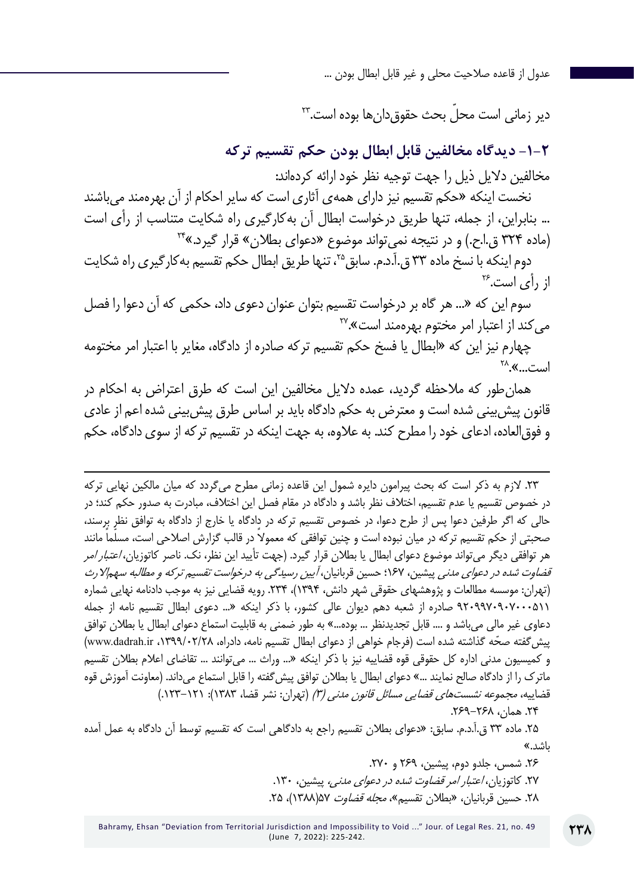ّ دیر زمانی است محل بحث حقوقدانها بوده است23.

**-1-2 دیدگاه مخالفین قابل ابطال بودن حکم تقسیم ترکه**

مخالفین دالیل ذیل را جهت توجیه نظر خود ارائه کردهاند:

نخست اینکه »حکم تقسیم نیز دارای همهی آثاری است که سایر احکام از آن بهرهمند میباشند ... بنابراین، از جمله، تنها طریق درخواست ابطال آن بهکارگیری راه شکایت متناسب از رأی است (ماده ٣٢۴ ق.ا.ح.) و در نتیجه نمی تواند موضوع «دعوای بطلان» قرار گیرد.»<sup>٢۴</sup>

دوم اینکه با نسخ ماده ٣٣ ق.آ.د.م. سابق ٢<sup>٥</sup>، تنها طریق ابطال حکم تقسیم بهکارگیری راه شکایت از رأی است26.

سوم این که »... هر گاه بر درخواست تقسیم بتوان عنوان دعوی داد، حکمی که آن دعوا را فصل میکند از اعتبار امر مختوم بهرهمند است».<sup>۲۷</sup>

چهارم نیز این که »ابطال یا فسخ حکم تقسیم ترکه صادره از دادگاه، مغایر با اعتبار امر مختومه است...». <sup>۲۸</sup>

همانطور که مالحظه گردید، عمده دالیل مخالفین این است که طرق اعتراض به احکام در قانون پیشبینی شده است و معترض به حکم دادگاه باید بر اساس طرق پیشبینی شده اعم از عادی و فوقالعاده، ادعای خود را مطرح کند. به عالوه، به جهت اینکه در تقسیم ترکه از سوی دادگاه، حکم

.23 الزم به ذکر است که بحث پیرامون دایره شمول این قاعده زمانی مطرح میگردد که میان مالکین نهایی ترکه در خصوص تقسیم یا عدم تقسیم، اختالف نظر باشد و دادگاه در مقام فصل این اختالف، مبادرت به صدور حکم کند؛ در حالی که اگر طرفین دعوا پس از طرح دعوا، در خصوص تقسیم ترکه در دادگاه یا خارج از دادگاه به توافق نظر برسند، صحبتی از حکم تقسیم ترکه در میان نبوده است و چنین توافقی که معمولاً در قالب گزارش اصلاحی است، مسلّماً مانند هر توافقی دیگر میتواند موضوع دعوای ابطال یا بطلان قرار گیرد. (جهت تأیید این نظر، نک. ناصر کاتوزیان، *اعتبار امر* قضاوت شده در دعوای مدنی پیشین، 167؛ حسین قربانیان، آیین رسیدگی به درخواست تقسیم ترکه و مطالبه سهماالرث )تهران: موسسه مطالعات و پژوهشهای حقوقی شهر دانش، 1394(، .234 رویه قضایی نیز به موجب دادنامه نهایی شماره 9209970907000511 صادره از شعبه دهم دیوان عالی کشور، با ذکر اینکه »... دعوی ابطال تقسیم نامه از جمله دعاوی غیر مالی می،اشد و .... قابل تجدیدنظر ... بوده...» به طور ضمنی به قابلیت استماع دعوای ابطال یا بطلان توافق پیش گفته صحّه گذاشته شده است (فرجام خواهی از دعوای ابطال تقسیم نامه، دادراه، ۱۳۹۹/۰۲/۲۸ (www.dadrah.ir و کمیسیون مدنی اداره کل حقوقی قوه قضاییه نیز با ذکر اینکه »... وراث ... میتوانند ... تقاضای اعالم بطالن تقسیم ماترک را از دادگاه صالح نمایند ...« دعوای ابطال یا بطالن توافق پیشگفته را قابل استماع میداند. )معاونت آموزش قوه قضاییه، مجم*وعه نشستهای قضایی مسائل قانون مدنی (۳)* (تهران: نشر قضا، ۱۳۸۳): ۱۲۱–۱۲۳.) .24 همان، .269-268

.25 ماده 33 ق.آ.د.م. سابق: »دعوای بطالن تقسیم راجع به دادگاهی است که تقسیم توسط آن دادگاه به عمل آمده باشد.«

> .26 شمس، جلدو دوم، پیشین، 269 و .270 ۲۷. کاتوزیان، *اعتبار امر قضاوت شده در دعوای مدنی،* پیشین، ۱۳۰. .28 حسین قربانیان، «بطلان تقسیم»، *مجله قضاوت ۵*۵(۱۳۸۸)، ۲۵.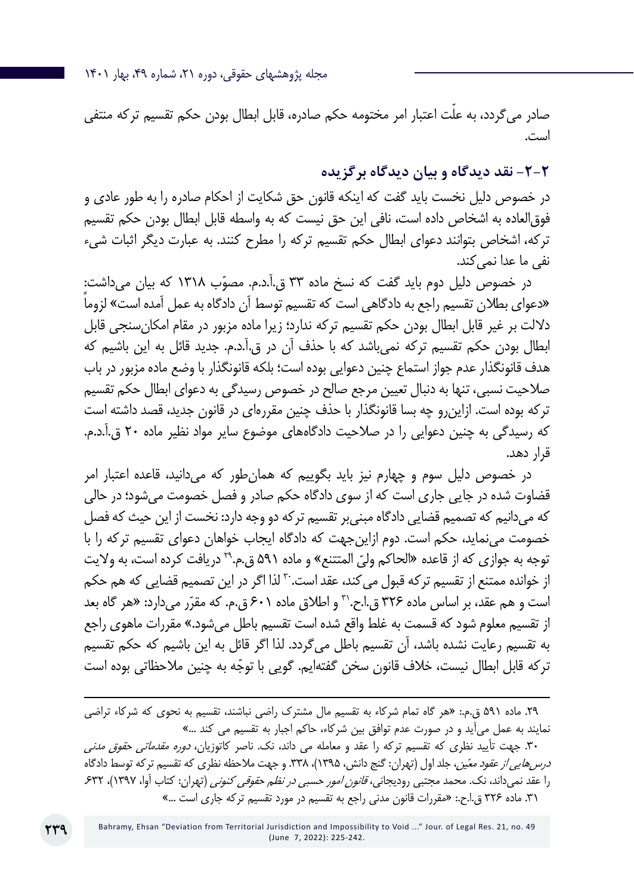مجله پژوهشهای حقوقی، دوره ۲۱، شماره ۴۹، بهار ۱۴۰۱

صادر میگردد، به علّت اعتبار امر مختومه حکم صادره، قابل ابطال بودن حکم تقسیم ترکه منتفی است.

**-2-2 نقد دیدگاه و بیان دیدگاه برگزیده**

در خصوص دلیل نخست باید گفت که اینکه قانون حق شکایت از احکام صادره را به طور عادی و فوقالعاده به اشخاص داده است، نافی این حق نیست که به واسطه قابل ابطال بودن حکم تقسیم ترکه، اشخاص بتوانند دعوای ابطال حکم تقسیم ترکه را مطرح کنند. به عبارت دیگر اثبات شیء نفی ما عدا نمی کند.

در خصوص دلیل دوم باید گفت که نسخ ماده ۳۳ ق.آ.د.م. مصوّب ۱۳۱۸ که بیان میداشت:ٍ ً »دعوای بطالن تقسیم راجع به دادگاهی است که تقسیم توسط آن دادگاه به عمل آمده است« لزوما داللت بر غیر قابل ابطال بودن حکم تقسیم ترکه ندارد؛ زیرا ماده مزبور در مقام امکانسنجی قابل ابطال بودن حکم تقسیم ترکه نمیباشد که با حذف آن در ق.آ.د.م. جدید قائل به این باشیم که هدف قانونگذار عدم جواز استماع چنین دعوایی بوده است؛ بلکه قانونگذار با وضع ماده مزبور در باب صالحیت نسبی، تنها به دنبال تعیین مرجع صالح در خصوص رسیدگی به دعوای ابطال حکم تقسیم ترکه بوده است. ازاینرو چه بسا قانونگذار با حذف چنین مقررهای در قانون جدید، قصد داشته است که رسیدگی به چنین دعوایی را در صالحیت دادگاههای موضوع سایر مواد نظیر ماده 20 ق.آ.د.م. قرار دهد.

در خصوص دلیل سوم و چهارم نیز باید بگوییم که همانطور که میدانید، قاعده اعتبار امر قضاوت شده در جایی جاری است که از سوی دادگاه حکم صادر و فصل خصومت میشود؛ در حالی که میدانیم که تصمیم قضایی دادگاه مبنیبر تقسیم ترکه دو وجه دارد: نخست از این حیث که فصل خصومت مینماید، حکم است. دوم ازاینجهت که دادگاه ایجاب خواهان دعوای تقسیم ترکه را با توجه به جوازی که از قاعده «الحاکم ولیّ المتتنع» و ماده ۵۹۱ ق.م.<sup>۲۹</sup> دریافت کرده است، به ولایت از خوانده ممتنع از تقسیم ترکه قبول میکند، عقد است. ّ لذا اگر در این تصمیم قضایی که هم حکم است و هم عقد، بر اساس ماده ۳۲۶ ق.ا.ح.<sup>۳۱</sup> و اطلاق ماده ۶۰۱ ق.م. که مقرّر میدارد: «هر گاه بعد از تقسیم معلوم شود که قسمت به غلط واقع شده است تقسیم باطل می شود.» مقررات ماهوی راجع به تقسیم رعایت نشده باشد، آن تقسیم باطل میگردد. لذا اگر قائل به این باشیم که حکم تقسیم تر که قابل ابطال نیست، خلاف قانون سخن گفتهایم. گویی با توجّه به چنین ملاحظاتی بوده است

۳۰. جهت تأیید نظری که تقسیم ترکه را عقد و معامله می داند، نک. ناصر کاتوزیان، *دوره مقدماتی حقوق مدنی* د*رس هایی از عقود معّین*، جلد اول (تهران: گنج دانش، ۱۳۹۵)، ۳۳۸. و جهت ملاحظه نظری که تقسیم ترکه توسط دادگاه را عقد نمیداند، نک. محمد مجتبی رودیجانی، *قانون امور حسبی در نظم حقوقی کنونی* (تهران: کتاب آوا، ۱۳۹۷)، ۶۳۲. .31 ماده 326 ق.ا.ح:. »مقررات قانون مدنی راجع به تقسیم در مورد تقسیم ترکه جاری است ...«

<sup>.29</sup> ماده 591 ق.م:. »هر گاه تمام شرکاء به تقسیم مال مشترک راضی نباشند، تقسیم به نحوی که شرکاء تراضی نمایند به عمل میآید و در صورت عدم توافق بین شرکاء، حاکم اجبار به تقسیم می کند ...«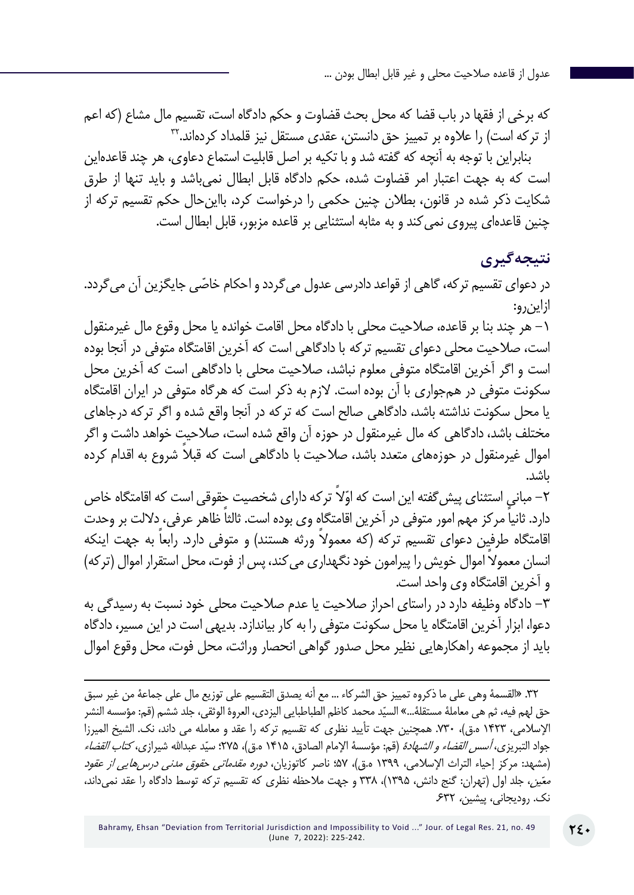که برخی از فقها در باب قضا که محل بحث قضاوت و حکم دادگاه است، تقسیم مال مشاع )که اعم از ترکه است) را علاوه بر تمییز حق دانستن، عقدی مستقل نیز قلمداد کردهاند.™

بنابراین با توجه به آنچه که گفته شد و با تکیه بر اصل قابلیت استماع دعاوی، هر چند قاعدهاین است که به جهت اعتبار امر قضاوت شده، حکم دادگاه قابل ابطال نمیباشد و باید تنها از طرق شکایت ذکر شده در قانون، بطالن چنین حکمی را درخواست کرد، بااینحال حکم تقسیم ترکه از چنین قاعدهای پیروی نمیکند و به مثابه استثنایی بر قاعده مزبور، قابل ابطال است.

## **نتیجهگیری**

در دعوای تقسیم ترکه، گاهی از قواعد دادرسی عدول می ّ گردد و احکام خاصی جایگزین آن میگردد. ازاینرو:

-1 هر چند بنا بر قاعده، صالحیت محلی با دادگاه محل اقامت خوانده یا محل وقوع مال غیرمنقول است، صالحیت محلی دعوای تقسیم ترکه با دادگاهی است که آخرین اقامتگاه متوفی در آنجا بوده است و اگر آخرین اقامتگاه متوفی معلوم نباشد، صالحیت محلی با دادگاهی است که آخرین محل سکونت متوفی در همجواری با آن بوده است. الزم به ذکر است که هرگاه متوفی در ایران اقامتگاه یا محل سکونت نداشته باشد، دادگاهی صالح است که ترکه در آنجا واقع شده و اگر ترکه درجاهای مختلف باشد، دادگاهی که مال غیرمنقول در حوزه آن واقع شده است، صالحیت خواهد داشت و اگر اموال غیرمنقول در حوزههای متعدد باشد، صلاحیت با دادگاهی است که قبلا شروع به اقدام کرده باشد.

۲– مبانیٍ استثنای پیش گفته این است که اوّلاً تر که دارای شخصیت حٍقوقی است که اقامتگاه خاص ً دارد. ثانیا ً مرکز مهم امور متوفی در آخرین اقامتگاه وی بوده است. ثالثا ظاهر عرفی، داللت بر وحدت اقامتگاه طرفین دعوای تقسیم ترکه (که معمولا ورثه هستند) و متوفی دارد. رابعا به جهت اینکه انسان معمولاً اموال خویش را پیرامون خود نگهداری می کند، پس از فوت، محل استقرار اموال (ترکه) و آخرین اقامتگاه وی واحد است.

-3 دادگاه وظیفه دارد در راستای احراز صالحیت یا عدم صالحیت محلی خود نسبت به رسیدگی به دعوا، ابزار آخرین اقامتگاه یا محل سکونت متوفی را به کار بیاندازد. بدیهی است در این مسیر، دادگاه باید از مجموعه راهکارهایی نظیر محل صدور گواهی انحصار وراثت، محل فوت، محل وقوع اموال

<sup>.32 »</sup>القسمة وهي على ما ذكروه تمييز حق الشركاء ... مع أنه يصدق التقسيم على توزيع مال على جماعة من غير سبق حق لهم فيه، ثم هي معاملهٔ مستقلهٔ…» السيّد محمد كاظم الطباطبايي اليزدي، العروهٔ الوثقي، جلد ششم (قم: مؤسسه النشر اإلسالمی، 1423 ه.ق(، .730 همچنین جهت تأیید نظری که تقسیم ترکه را عقد و معامله می داند، نک. الشیخ المیرزا جواد التبریزی، *أسس القضاء و الشهادة* (قم: مؤسسة الإمام الصادق، ۱۴۱۵ ه.ق)، ۲۷۵: سیّد عبدالله شیرازی، *کتاب القضاء* (مشهد: مرکز إحیاء التراث الإسلامی، ١٣٩٩ ه.ق)، ۵۷؛ ناصر کاتوزیان، *دوره مقدماتی حقوق مدنی درس۵ایی از عقود* معّین، جلد اول (تهران: گنج دانش، ١٣٩۵)، ٣٣٨ و جهت ملاحظه نظری که تقسیم ترکه توسط دادگاه را عقد نمیداند، نک. رودیجانی، پیشین، .632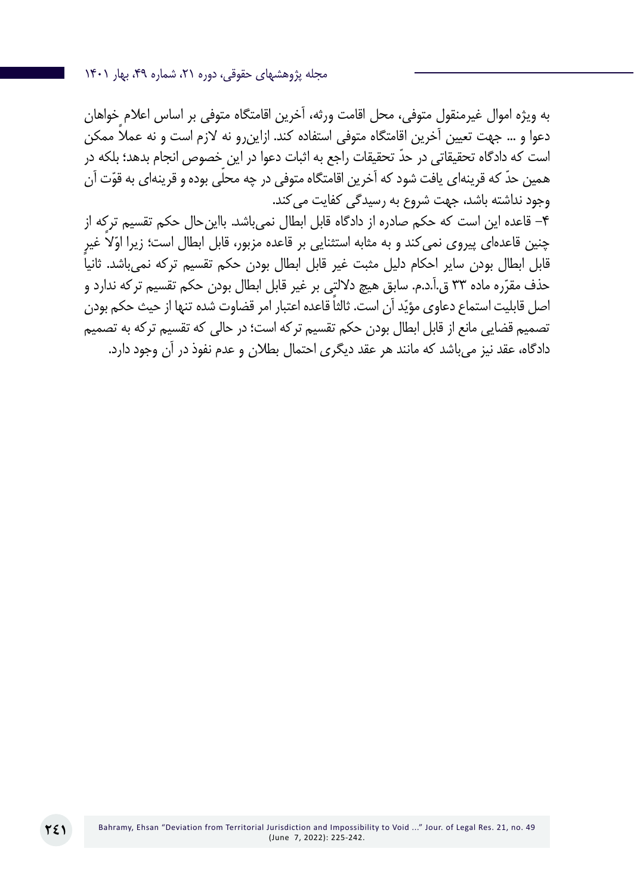مجله پژوهشهای حقوقی، دوره ،21 شماره ،49 بهار 1401

به ویژه اموال غیرمنقول متوفی، محل اقامت ورثه، آخرین اقامتگاه متوفی بر اساس اعالم خواهان دعوا و … جهت تعیین آخرین اقامتگاه متوفی استفاده کند. ازاین٫رو نه لازم است و نه عملاً ممکن ّ است که دادگاه تحقیقاتی در حد تحقیقات راجع به اثبات دعوا در این خصوص انجام بدهد؛ بلکه در همین حدّ که قرینهای یافت شود که آخرین اقامتگاه متوفی در چه محلّی بوده و قرینهای به قوّت آن وجود نداشته باشد، جهت شروع به رسیدگی کفایت می کند.

-4 قاعده این است که حکم صادره از دادگاه قابل ابطال نمیباشد. بااینحال حکم تقسیم ترکه از چنین قاعدهای پیروی نمیکند و به مثابه استثنایی بر قاعده مزبور، قابل ابطال است؛ زیرا اوّلاً غیرٍ قابل ابطال بودن سایر احکام دلیل مثبت غیر قابل ابطال بودن حکم تقسیم ترکه نمی،باشد. ثانیاً حذف مقرّره ماده ٣٣ ق.آ.د.م. سابق هيچ دلالتٍي بر غير قابل ابطال بودن حکم تقسيم ترکه ندارد و اصل قابلیت استماع دعاوی مؤیّد آن است. ثالثاً قاعده اعتبار امر قضاوت شده تنها از حیث حکم بودن تصمیم قضایی مانع از قابل ابطال بودن حکم تقسیم ترکه است؛ در حالی که تقسیم ترکه به تصمیم دادگاه، عقد نیز میباشد که مانند هر عقد دیگری احتمال بطالن و عدم نفوذ در آن وجود دارد.